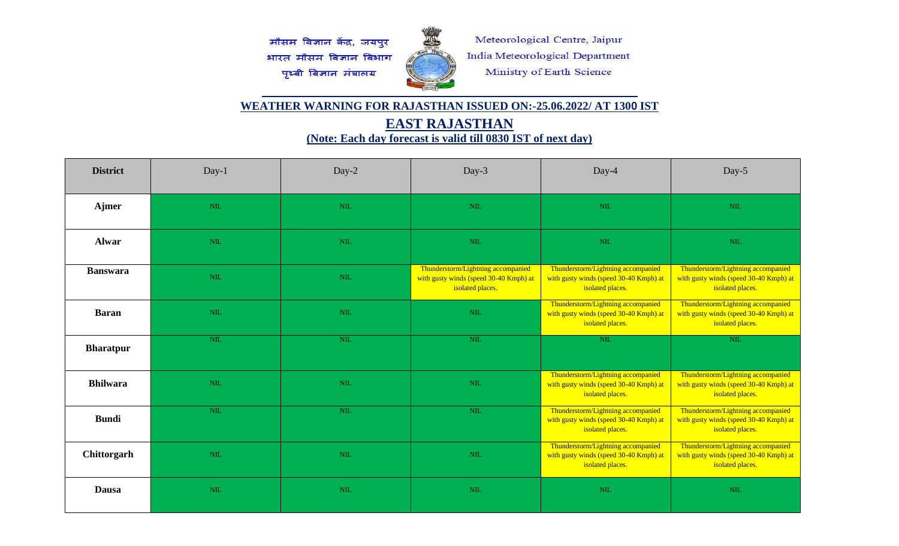मौसम विज्ञान केंद्र, जयपुर भारत मौसम विज्ञान विभाग पृथ्वी विज्ञान मंत्रालय



Meteorological Centre, Jaipur India Meteorological Department Ministry of Earth Science

## **WEATHER WARNING FOR RAJASTHAN ISSUED ON:-25.06.2022/ AT 1300 IST**

**EAST RAJASTHAN** 

**(Note: Each day forecast is valid till 0830 IST of next day)**

| <b>District</b>  | $Day-1$    | Day-2        | Day-3                                                                                            | Day-4                                                                                            | Day-5                                                                                            |
|------------------|------------|--------------|--------------------------------------------------------------------------------------------------|--------------------------------------------------------------------------------------------------|--------------------------------------------------------------------------------------------------|
| Ajmer            | NIL        | $\text{NIL}$ | <b>NIL</b>                                                                                       | $NIL$                                                                                            | <b>NIL</b>                                                                                       |
| <b>Alwar</b>     | <b>NIL</b> | $\text{NIL}$ | <b>NIL</b>                                                                                       | $NIL$                                                                                            | <b>NIL</b>                                                                                       |
| <b>Banswara</b>  | NIL        | $NIL$        | Thunderstorm/Lightning accompanied<br>with gusty winds (speed 30-40 Kmph) at<br>isolated places. | Thunderstorm/Lightning accompanied<br>with gusty winds (speed 30-40 Kmph) at<br>isolated places. | Thunderstorm/Lightning accompanied<br>with gusty winds (speed 30-40 Kmph) at<br>isolated places. |
| <b>Baran</b>     | <b>NIL</b> | NIL          | <b>NIL</b>                                                                                       | Thunderstorm/Lightning accompanied<br>with gusty winds (speed 30-40 Kmph) at<br>isolated places. | Thunderstorm/Lightning accompanied<br>with gusty winds (speed 30-40 Kmph) at<br>isolated places. |
| <b>Bharatpur</b> | NIL        | NIL          | NIL                                                                                              | NIL                                                                                              | NIL                                                                                              |
| <b>Bhilwara</b>  | <b>NIL</b> | NIL          | <b>NIL</b>                                                                                       | Thunderstorm/Lightning accompanied<br>with gusty winds (speed 30-40 Kmph) at<br>isolated places. | Thunderstorm/Lightning accompanied<br>with gusty winds (speed 30-40 Kmph) at<br>isolated places. |
| <b>Bundi</b>     | NIL        | $NIL$        | <b>NIL</b>                                                                                       | Thunderstorm/Lightning accompanied<br>with gusty winds (speed 30-40 Kmph) at<br>isolated places. | Thunderstorm/Lightning accompanied<br>with gusty winds (speed 30-40 Kmph) at<br>isolated places. |
| Chittorgarh      | <b>NIL</b> | NIL          | <b>NIL</b>                                                                                       | Thunderstorm/Lightning accompanied<br>with gusty winds (speed 30-40 Kmph) at<br>isolated places. | Thunderstorm/Lightning accompanied<br>with gusty winds (speed 30-40 Kmph) at<br>isolated places. |
| <b>Dausa</b>     | NIL        | NIL          | <b>NIL</b>                                                                                       | $NIL$                                                                                            | NIL                                                                                              |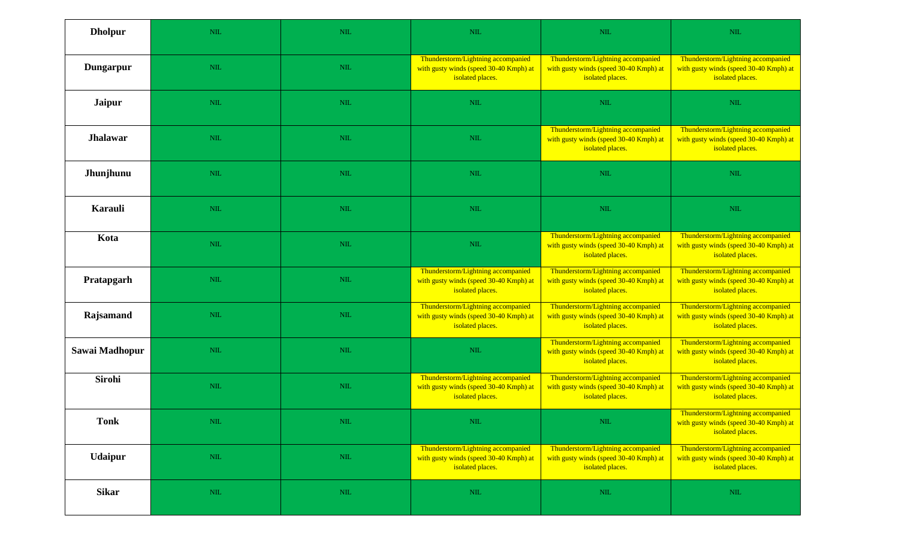| <b>Dholpur</b>   | NIL          | NIL          | $\mbox{NIL}$                                                                                     | $\mbox{NIL}$                                                                                     | NIL                                                                                              |
|------------------|--------------|--------------|--------------------------------------------------------------------------------------------------|--------------------------------------------------------------------------------------------------|--------------------------------------------------------------------------------------------------|
| <b>Dungarpur</b> | NIL          | <b>NIL</b>   | Thunderstorm/Lightning accompanied<br>with gusty winds (speed 30-40 Kmph) at<br>isolated places. | Thunderstorm/Lightning accompanied<br>with gusty winds (speed 30-40 Kmph) at<br>isolated places. | Thunderstorm/Lightning accompanied<br>with gusty winds (speed 30-40 Kmph) at<br>isolated places. |
| <b>Jaipur</b>    | NIL          | NIL          | <b>NIL</b>                                                                                       | <b>NIL</b>                                                                                       | $NIL$                                                                                            |
| <b>Jhalawar</b>  | NIL          | NIL          | <b>NIL</b>                                                                                       | Thunderstorm/Lightning accompanied<br>with gusty winds (speed 30-40 Kmph) at<br>isolated places. | Thunderstorm/Lightning accompanied<br>with gusty winds (speed 30-40 Kmph) at<br>isolated places. |
| Jhunjhunu        | <b>NIL</b>   | NIL          | <b>NIL</b>                                                                                       | <b>NIL</b>                                                                                       | $\mbox{NIL}$                                                                                     |
| <b>Karauli</b>   | NIL          | NIL          | $\mbox{NIL}$                                                                                     | $\mbox{NIL}$                                                                                     | $\mbox{NIL}$                                                                                     |
| Kota             | NIL          | NIL          | $\mbox{NIL}$                                                                                     | Thunderstorm/Lightning accompanied<br>with gusty winds (speed 30-40 Kmph) at<br>isolated places. | Thunderstorm/Lightning accompanied<br>with gusty winds (speed 30-40 Kmph) at<br>isolated places. |
| Pratapgarh       | NIL          | <b>NIL</b>   | Thunderstorm/Lightning accompanied<br>with gusty winds (speed 30-40 Kmph) at<br>isolated places. | Thunderstorm/Lightning accompanied<br>with gusty winds (speed 30-40 Kmph) at<br>isolated places. | Thunderstorm/Lightning accompanied<br>with gusty winds (speed 30-40 Kmph) at<br>isolated places. |
| Rajsamand        | NIL          | NIL          | Thunderstorm/Lightning accompanied<br>with gusty winds (speed 30-40 Kmph) at<br>isolated places. | Thunderstorm/Lightning accompanied<br>with gusty winds (speed 30-40 Kmph) at<br>isolated places. | Thunderstorm/Lightning accompanied<br>with gusty winds (speed 30-40 Kmph) at<br>isolated places. |
| Sawai Madhopur   | NIL          | NIL          | <b>NIL</b>                                                                                       | Thunderstorm/Lightning accompanied<br>with gusty winds (speed 30-40 Kmph) at<br>isolated places. | Thunderstorm/Lightning accompanied<br>with gusty winds (speed 30-40 Kmph) at<br>isolated places. |
| <b>Sirohi</b>    | NIL          | <b>NIL</b>   | Thunderstorm/Lightning accompanied<br>with gusty winds (speed 30-40 Kmph) at<br>isolated places. | Thunderstorm/Lightning accompanied<br>with gusty winds (speed 30-40 Kmph) at<br>isolated places. | Thunderstorm/Lightning accompanied<br>with gusty winds (speed 30-40 Kmph) at<br>isolated places. |
| <b>Tonk</b>      | $\mbox{NIL}$ | $\mbox{NIL}$ | $\mathop{\rm NIL}\nolimits$                                                                      | $\mathbf{NIL}$                                                                                   | Thunderstorm/Lightning accompanied<br>with gusty winds (speed 30-40 Kmph) at<br>isolated places. |
| <b>Udaipur</b>   | $\mbox{NIL}$ | $\mbox{NIL}$ | Thunderstorm/Lightning accompanied<br>with gusty winds (speed 30-40 Kmph) at<br>isolated places. | Thunderstorm/Lightning accompanied<br>with gusty winds (speed 30-40 Kmph) at<br>isolated places. | Thunderstorm/Lightning accompanied<br>with gusty winds (speed 30-40 Kmph) at<br>isolated places. |
| <b>Sikar</b>     | $\mbox{NIL}$ | NIL          | $\mbox{NIL}$                                                                                     | $\mbox{NIL}$                                                                                     | $\mbox{NIL}$                                                                                     |